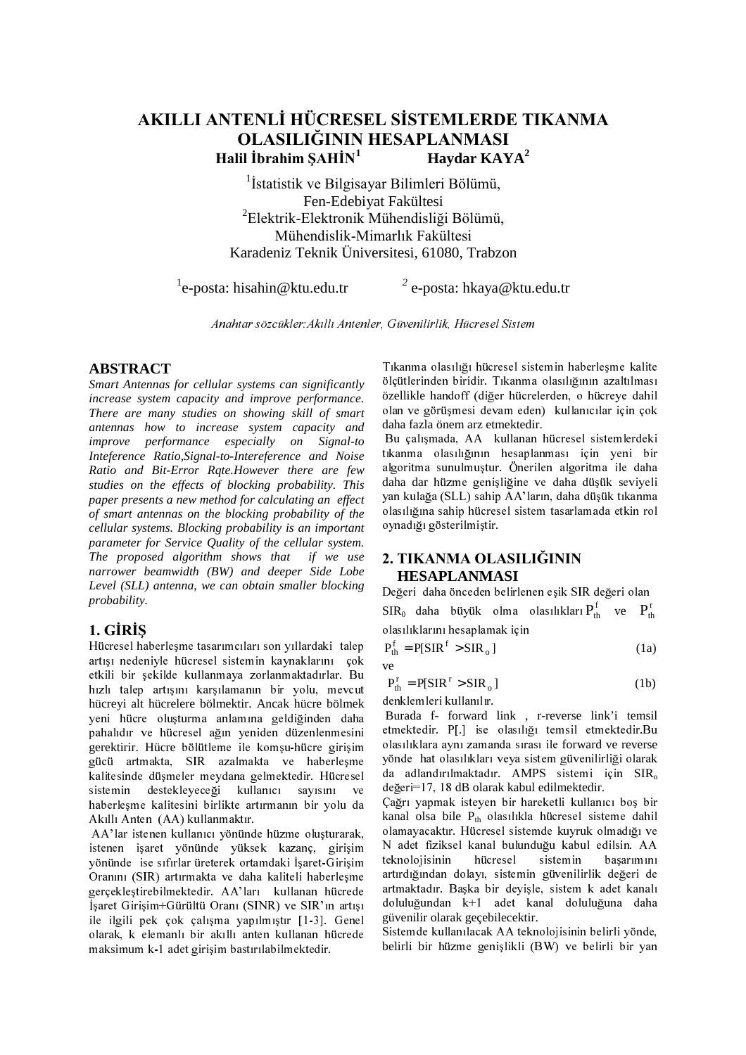#### AKILLI ANTENLİ HÜCRESEL SİSTEMLERDE TIKANMA OLASILIĞININ HESAPLANMASI Halil İbrahim SAHİN<sup>1</sup> Haydar KAYA<sup>2</sup>

<sup>1</sup>İstatistik ve Bilgisayar Bilimleri Bölümü, Fen-Edebiyat Fakültesi <sup>2</sup>Elektrik-Elektronik Mühendisliği Bölümü, Mühendislik-Mimarlık Fakültesi Karadeniz Teknik Üniversitesi, 61080, Trabzon

 $^{1}$ e-posta: hisahin@ktu.edu.tr

<sup>2</sup> e-posta: hkaya@ktu.edu.tr

Anahtar sözcükler: Akıllı Antenler, Güvenilirlik, Hücresel Sistem

# **ABSTRACT**

Smart Antennas for cellular systems can significantly increase system capacity and improve performance. There are many studies on showing skill of smart antennas how to increase system capacity and improve performance especially on Signal-to Inteference Ratio, Signal-to-Intereference and Noise Ratio and Bit-Error Rgte.However there are few studies on the effects of blocking probability. This paper presents a new method for calculating an effect of smart antennas on the blocking probability of the cellular systems. Blocking probability is an important parameter for Service Quality of the cellular system. The proposed algorithm shows that if we use narrower beamwidth (BW) and deeper Side Lobe Level (SLL) antenna, we can obtain smaller blocking *probability.* 

# 1. GİRİS

Hücresel haberleşme tasarımcıları son yıllardaki talep artışı nedeniyle hücresel sistemin kaynaklarını çok etkili bir sekilde kullanmaya zorlanmaktadırlar. Bu hızlı talep artışını karşılamanın bir yolu, mevcut hücreyi alt hücrelere bölmektir. Ancak hücre bölmek yeni hücre oluşturma anlamına geldiğinden daha pahalıdır ve hücresel ağın yeniden düzenlenmesini gerektirir. Hücre bölütleme ile komşu-hücre girişim gücü artmakta, SIR azalmakta ve haberleşme kalitesinde düşmeler meydana gelmektedir. Hücresel sistemin destekle yeceği kullanıcı sayısını ve haberlesme kalitesini birlikte artırmanın bir yolu da Akıllı Anten (AA) kullanmaktır.

AA'lar istenen kullanıcı yönünde hüzme oluşturarak, istenen isaret yönünde yüksek kazanç, girişim yönünde ise sıfırlar üreterek ortamdaki İşaret-Girişim Oranını (SIR) artırmakta ve daha kaliteli haberleşme gerçekleştirebilmektedir. AA'ları kullanan hücrede İşaret Girişim+Gürültü Oranı (SINR) ve SIR'ın artışı ile ilgili pek çok çalışma yapılmıştır [1-3]. Genel olarak, k elemanlı bir akıllı anten kullanan hücrede maksimum k-1 adet girişim bastırılabilmektedir.

Tıkanma olasılığı hücresel sistemin haberlesme kalite ölçütlerinden biridir. Tıkanma olasılığının azaltılması özellikle handoff (diğer hücrelerden, o hücreye dahil olan ve görüşmesi devam eden) kullanıcılar için çok daha fazla önem arz etmektedir.

Bu çalışmada, AA kullanan hücresel sistemlerdeki tıkanma olasılığının hesaplanması için yeni bir algoritma sunulmustur. Önerilen algoritma ile daha daha dar hüzme genişliğine ve daha düşük seviyeli yan kulağa (SLL) sahip AA'ların, daha düşük tıkanma olasılığına sahip hücresel sistem tasarlamada etkin rol oynadığı gösterilmiştir.

# 2. TIKANMA OLASILIĞININ **HESAPLANMASI**

Değeri daha önceden belirlenen eşik SIR değeri olan  $SIR_0$  daha büyük olma olasılıkları $P_{th}^f$  ve  $P_{th}^r$ olasılıklarını hesanlamak için

$$
P_{\text{th}}^{\text{f}} = P[\text{SIR}^{\text{f}} > \text{SIR}_0]
$$
 (1a)

 $ve$ 

$$
P_{\text{th}}^{\text{r}} = P[\text{SIR}^{\text{r}} > \text{SIR}_{\text{o}}]
$$
 (1b)

denklemleri kullanılır.

Burada f- forward link, r-reverse link'i temsil etmektedir. P[.] ise olasılığı temsil etmektedir.Bu olasılıklara aynı zamanda sırası ile forward ve reverse yönde hat olasılıkları veya sistem güvenilirliği olarak da adlandırılmaktadır. AMPS sistemi için SIR<sub>o</sub> değeri=17, 18 dB olarak kabul edilmektedir.

Çağrı yapmak isteyen bir hareketli kullanıcı boş bir kanal olsa bile Pth olasılıkla hücresel sisteme dahil olamayacaktır. Hücresel sistemde kuyruk olmadığı ve N adet fiziksel kanal bulunduğu kabul edilsin. AA teknolojisinin hücresel sistemin başarımını artırdığından dolayı, sistemin güvenilirlik değeri de artmaktadır. Başka bir deyişle, sistem k adet kanalı doluluğundan k+1 adet kanal doluluğuna daha güvenilir olarak geçebilecektir.

Sistemde kullanılacak AA teknolojisinin belirli yönde, belirli bir hüzme genişlikli (BW) ve belirli bir yan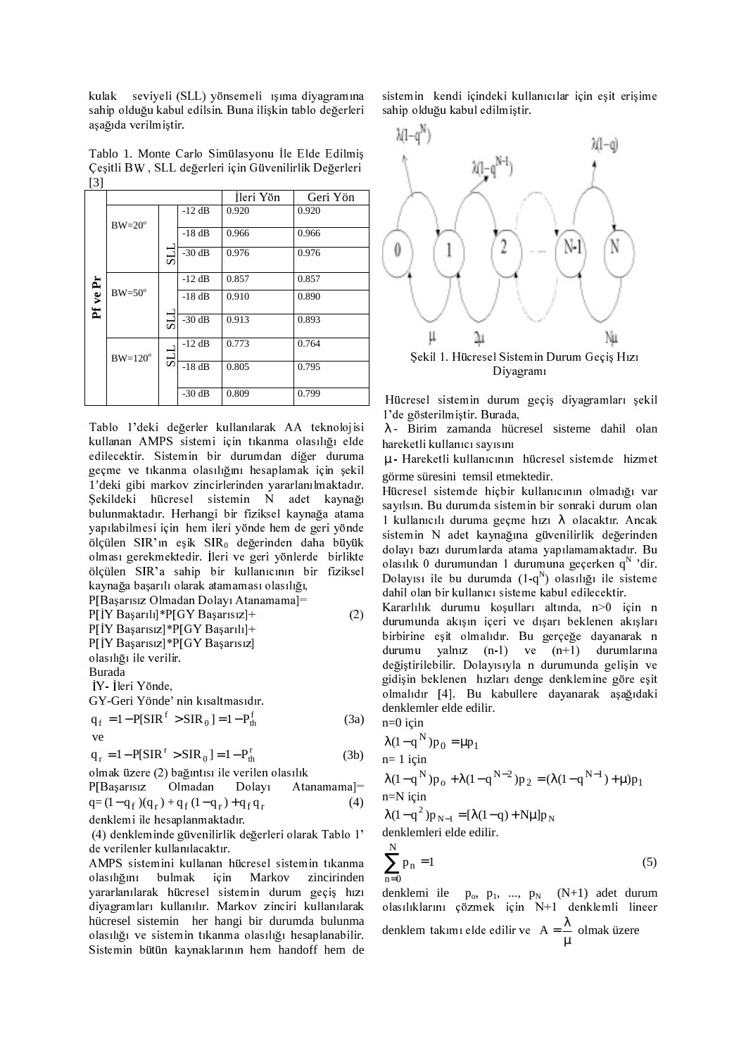seviyeli (SLL) yönsemeli ışıma diyagramına kulak sahip olduğu kabul edilsin. Buna ilişkin tablo değerleri aşağıda verilmiştir.

Tablo 1. Monte Carlo Simülasyonu İle Elde Edilmiş Çeşitli BW, SLL değerleri için Güvenilirlik Değerleri  $\lceil 3 \rceil$ 

|          |                   |     |          | İleri Yön | Geri Yön |
|----------|-------------------|-----|----------|-----------|----------|
| Pf ve Pr | $BW=20^{\circ}$   |     | $-12$ dB | 0.920     | 0.920    |
|          |                   |     | $-18$ dB | 0.966     | 0.966    |
|          |                   | LIS | $-30$ dB | 0.976     | 0.976    |
|          | $BW = 50^{\circ}$ |     | $-12$ dB | 0.857     | 0.857    |
|          |                   |     | $-18$ dB | 0.910     | 0.890    |
|          |                   | LIS | $-30$ dB | 0.913     | 0.893    |
|          | $BW=120^{\circ}$  | TTS | $-12$ dB | 0.773     | 0.764    |
|          |                   |     | $-18$ dB | 0.805     | 0.795    |
|          |                   |     | $-30$ dB | 0.809     | 0.799    |

Tablo l'deki değerler kullanılarak AA teknolojisi kullanan AMPS sistemi için tıkanma olasılığı elde edilecektir. Sistemin bir durumdan diğer duruma geçme ve tıkanma olasılığını hesaplamak için şekil 1'deki gibi markov zincirlerinden yararlanılmaktadır. Şekildeki hücresel sistemin N adet kaynağı bulunmaktadır. Herhangi bir fiziksel kaynağa atama yapılabilmesi için hem ileri yönde hem de geri yönde ölçülen SIR'ın eşik SIR<sub>0</sub> değerinden daha büyük olması gerekmektedir. İleri ve geri yönlerde birlikte ölçülen SIR'a sahip bir kullanıcının bir fiziksel kaynağa başarılı olarak atamaması olasılığı, PIBasarısız Olmadan Dolayı Atanamamal=

$$
P[1Y Başarısl 20maan Dolyi Aranamaniq]
$$
\n
$$
P[1Y Başarısl 1*P[GY Başarısız] + P[1Y Başarısız] *P[GY Başarısız]
$$
\n
$$
O[1] = O[1] = O[1]
$$
\n
$$
P[1Y Başarısız 1*P[GY Başarısız]
$$
\n
$$
O[1] = O[1]
$$
\n
$$
O[1] = O[1]
$$
\n
$$
P[1Y I] = O[1]
$$
\n
$$
P[1Y I] = O[1]
$$
\n
$$
P[1Y I] = O[1]
$$
\n
$$
P[1Y I] = O[1]
$$
\n
$$
P[1Y I] = O[1]
$$
\n
$$
P[1Y I] = O[1]
$$
\n
$$
P[1Y I] = O[1]
$$
\n
$$
P[1Y I] = O[1]
$$
\n
$$
P[1Y I] = O[1]
$$
\n
$$
P[1Y I] = O[1]
$$
\n
$$
P[1Y I] = O[1]
$$
\n
$$
P[1Y I] = O[1]
$$
\n
$$
P[1Y I] = O[1]
$$
\n
$$
P[1Y I] = O[1]
$$
\n
$$
P[1Y I] = O[1]
$$
\n
$$
P[1Y I] = O[1]
$$
\n
$$
P[1Y I] = O[1]
$$
\n
$$
P[1Y I] = O[1]
$$
\n
$$
P[1Y I] = O[1]
$$
\n
$$
P[1Y I] = O[1]
$$
\n
$$
P[1Y I] = O[1]
$$
\n
$$
P[1Y I] = O[1]
$$
\n
$$
P[1Y I] = O[1]
$$
\n
$$
P[1Y I] = O[1]
$$
\n
$$
P[1Y I] = O[1]
$$
\n
$$
P[1Y I] = O[1]
$$
\n
$$
P[1Y I] = O[1]
$$
\n
$$
P[1Y I] = O[1]
$$
\n
$$
P[1Y I] = O[1]
$$
\n
$$
P[1Y I] =
$$

 $q_r = 1 - P[SIR^r > SIR_0] = 1 - P_{th}^r$  $(3b)$ 

olmak üzere (2) bağıntısı ile verilen olasılık

$$
P[Başarısız \t Olmadan \t Dolayı \t Atanamama]=q=(1-q_f)(q_r)+q_f(1-q_r)+qfq_r \t(4)
$$

(4) denkleminde güvenilirlik değerleri olarak Tablo 1' de verilenler kullanılacaktır.

AMPS sistemini kullanan hücresel sistemin tıkanma olasılığını bulmak için Markov zincirinden yararlanılarak hücresel sistemin durum geçiş hızı diyagramları kullanılır. Markov zinciri kullanılarak hücresel sistemin her hangi bir durumda bulunma olasılığı ve sistemin tıkanma olasılığı hesaplanabilir. Sistemin bütün kaynaklarının hem handoff hem de sistemin kendi içindeki kullanıcılar için eşit erişime sahip olduğu kabul edilmiştir.



Hücresel sistemin durum geçiş diyagramları şekil 1'de gösterilmiştir. Burada,

 $\lambda$ - Birim zamanda hücresel sisteme dahil olan hareketli kullanıcı savısını

µ - Hareketli kullanıcının hücresel sistemde hizmet görme süresini temsil etmektedir.

Hücresel sistemde hiçbir kullanıcının olmadığı var sayılsın. Bu durumda sistemin bir sonraki durum olan 1 kullanıcılı duruma geçme hızı  $\lambda$  olacaktır. Ancak sistemin N adet kaynağına güvenilirlik değerinden dolayı bazı durumlarda atama yapılamamaktadır. Bu olasılık 0 durumundan 1 durumuna geçerken q<sup>N</sup> 'dir. Dolayısı ile bu durumda  $(1-q^N)$  olasılığı ile sisteme dahil olan bir kullanıcı sisteme kabul edilecektir.

Kararlılık durumu koşulları altında, n>0 için n durumunda akışın içeri ve dışarı beklenen akışları birbirine eşit olmalıdır. Bu gerçeğe dayanarak n durumu yalnız  $(n-1)$  ve  $(n+1)$  durumlarına değiştirilebilir. Dolayısıyla n durumunda gelişin ve gidişin beklenen hızları denge denklemine göre eşit olmalıdır [4]. Bu kabullere dayanarak aşağıdaki denklemler elde edilir.  $n=0$  icin

$$
\lambda(1-q^N)p_0 = \mu p_1
$$
  
n= 1 için  

$$
\lambda(1-q^N)p_0 + \lambda(1-q^{N-2})p_2 = (\lambda(1-q^{N-1}) + \mu)p_1
$$
  
n=N için  

$$
\lambda(1-q^2)p_{N-1} = [\lambda(1-q) + N\mu]p_N
$$
denklemleri elde edilir.

$$
\sum_{n=0}^{N} p_n = 1
$$
\n<sup>(5)</sup>

denklemi ile  $p_0$ ,  $p_1$ , ...,  $p_N$  (N+1) adet durum olasılıklarını çözmek için N+1 denklemli lineer denklem takımı elde edilir ve  $A = \frac{\lambda}{\mu}$  olmak üzere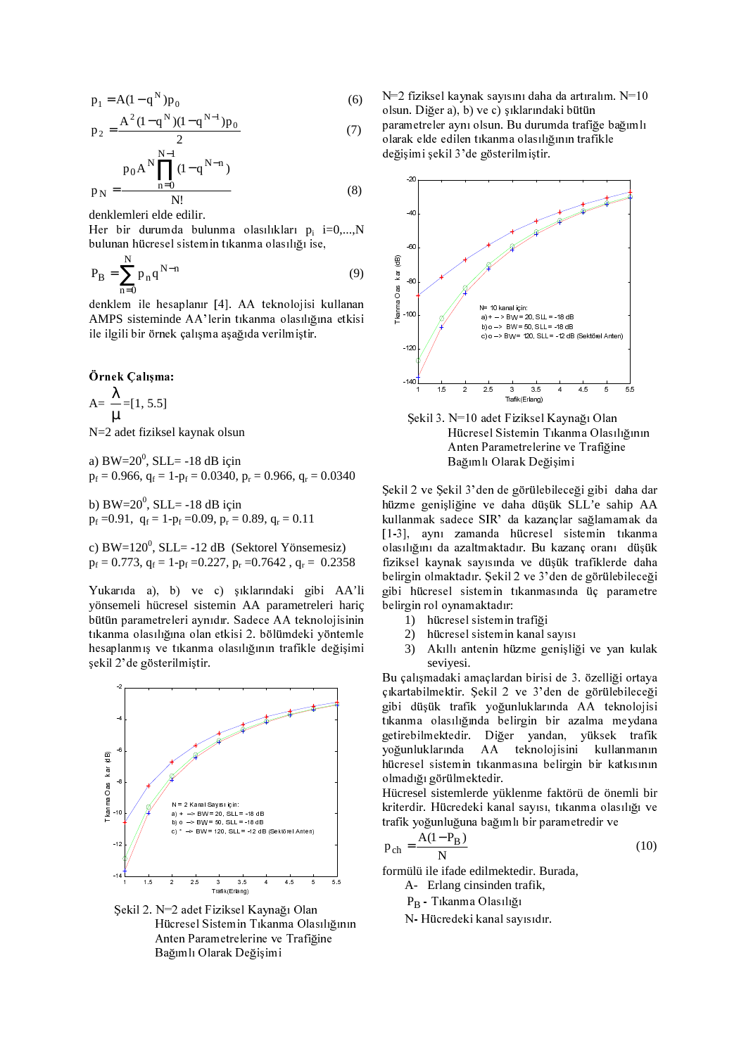$$
p_1 = A(1 - q^N)p_0
$$
 (6)

$$
p_2 = \frac{A^2 (1 - q^{11})(1 - q^{11})p_0}{2} \tag{7}
$$

$$
p_{N} = \frac{p_{0}A^{N} \prod_{n=0}^{N-1} (1 - q^{N-n})}{N!}
$$
 (8)

denklemleri elde edilir.

Her bir durumda bulunma olasılıkları  $p_i$  i=0,...,N bulunan hücresel sistemin tıkanma olasılığı ise,

$$
P_B = \sum_{n=0}^{N} p_n q^{N-n}
$$
 (9)

denklem ile hesaplanır [4]. AA teknolojisi kullanan AMPS sisteminde AA'lerin tıkanma olasılığına etkisi ile ilgili bir örnek çalışma aşağıda verilmiştir.

#### Örnek Çalışma:

$$
A = \frac{\lambda}{\mu} = [1, 5.5]
$$

N=2 adet fiziksel kaynak olsun

a) BW= $20^0$ , SLL= -18 dB icin  $p_f = 0.966$ ,  $q_f = 1-p_f = 0.0340$ ,  $p_r = 0.966$ ,  $q_r = 0.0340$ 

b) BW= $20^0$ , SLL= -18 dB için  $p_f = 0.91$ ,  $q_f = 1 - p_f = 0.09$ ,  $p_r = 0.89$ ,  $q_r = 0.11$ 

c) BW= $120^0$ , SLL= -12 dB (Sektorel Yönsemesiz)  $p_f = 0.773$ ,  $q_f = 1-p_f = 0.227$ ,  $p_r = 0.7642$ ,  $q_r = 0.2358$ 

Yukarıda a), b) ve c) şıklarındaki gibi AA'li yönsemeli hücresel sistemin AA parametreleri hariç bütün parametreleri aynıdır. Sadece AA teknolojisinin tıkanma olasılığına olan etkisi 2. bölümdeki yöntemle hesaplanmış ve tıkanma olasılığının trafikle değişimi şekil 2'de gösterilmiştir.



Şekil 2. N=2 adet Fiziksel Kaynağı Olan Hücresel Sistemin Tıkanma Olasılığının Anten Parametrelerine ve Trafiğine Bağımlı Olarak Değisimi

N=2 fiziksel kaynak sayısını daha da artıralım. N=10 olsun. Diğer a), b) ve c) şıklarındaki bütün parametreler aynı olsun. Bu durumda trafiğe bağımlı olarak elde edilen tıkanma olasılığının trafikle değişimi şekil 3'de gösterilmiştir.



Şekil 3. N=10 adet Fiziksel Kaynağı Olan Hücresel Sistemin Tıkanma Olasılığının Anten Parametrelerine ve Trafiğine Bağımlı Olarak Değişimi

Şekil 2 ve Şekil 3'den de görülebileceği gibi daha dar hüzme genişliğine ve daha düşük SLL'e sahip AA kullanmak sadece SIR' da kazançlar sağlamamak da [1-3], aynı zamanda hücresel sistemin tıkanma olasılığını da azaltmaktadır. Bu kazanç oranı düşük fiziksel kaynak sayısında ve düşük trafiklerde daha belirgin olmaktadır. Şekil 2 ve 3'den de görülebileceği gibi hücresel sistemin tıkanmasında üç parametre belirgin rol oynamaktadır:

- 1) hücresel sistemin trafiği
- 2) hücresel sistemin kanal sayısı
- $3)$ Akıllı antenin hüzme genişliği ve yan kulak seviyesi.

Bu çalışmadaki amaçlardan birisi de 3. özelliği ortaya çıkartabilmektir. Şekil 2 ve 3'den de görülebileceği gibi düşük trafik yoğunluklarında AA teknolojisi tıkanma olasılığında belirgin bir azalma meydana getirebilmektedir. Diğer yandan, yüksek trafik AA teknolojisini kullanmanın voğunluklarında hücresel sistemin tıkanmasına belirgin bir katkısının olmadığı görülmektedir.

Hücresel sistemlerde yüklenme faktörü de önemli bir kriterdir. Hücredeki kanal sayısı, tıkanma olasılığı ve trafik yoğunluğuna bağımlı bir parametredir ve

$$
p_{ch} = \frac{A(1 - P_B)}{N}
$$
 (10)

formülü ile ifade edilmektedir. Burada,

A- Erlang cinsinden trafik,

P<sub>R</sub> - Tikanma Olasılığı

N-Hücredeki kanal savısıdır.